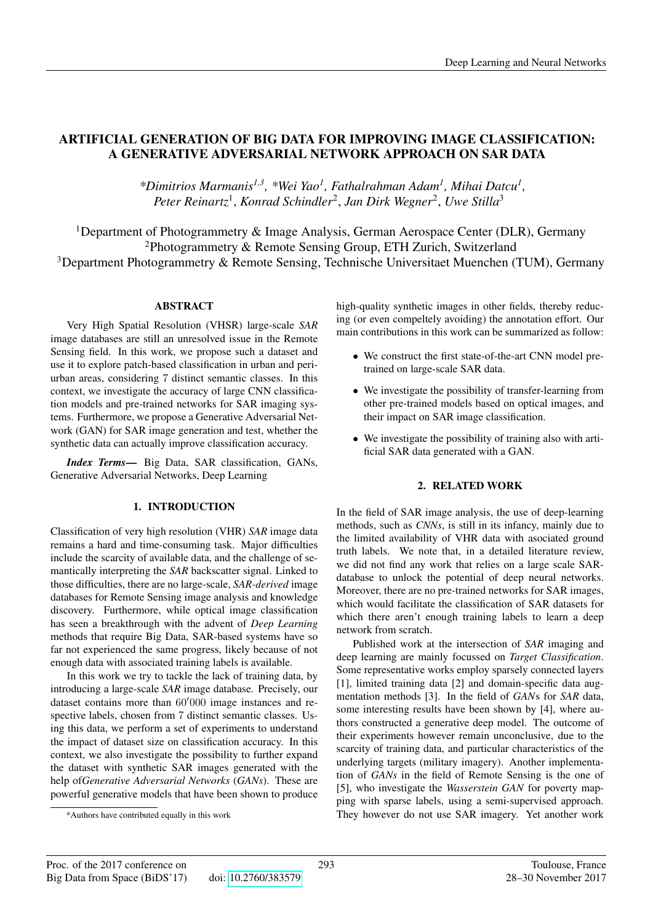# ARTIFICIAL GENERATION OF BIG DATA FOR IMPROVING IMAGE CLASSIFICATION: A GENERATIVE ADVERSARIAL NETWORK APPROACH ON SAR DATA

*\*Dimitrios Marmanis1,3, \*Wei Yao<sup>1</sup> , Fathalrahman Adam<sup>1</sup> , Mihai Datcu<sup>1</sup> , Peter Reinartz*<sup>1</sup> , *Konrad Schindler*<sup>2</sup> , *Jan Dirk Wegner*<sup>2</sup> , *Uwe Stilla*<sup>3</sup>

<sup>1</sup>Department of Photogrammetry & Image Analysis, German Aerospace Center (DLR), Germany <sup>2</sup>Photogrammetry & Remote Sensing Group, ETH Zurich, Switzerland <sup>3</sup>Department Photogrammetry & Remote Sensing, Technische Universitaet Muenchen (TUM), Germany

#### ABSTRACT

Very High Spatial Resolution (VHSR) large-scale *SAR* image databases are still an unresolved issue in the Remote Sensing field. In this work, we propose such a dataset and use it to explore patch-based classification in urban and periurban areas, considering 7 distinct semantic classes. In this context, we investigate the accuracy of large CNN classification models and pre-trained networks for SAR imaging systems. Furthermore, we propose a Generative Adversarial Network (GAN) for SAR image generation and test, whether the synthetic data can actually improve classification accuracy.

*Index Terms*— Big Data, SAR classification, GANs, Generative Adversarial Networks, Deep Learning

#### 1. INTRODUCTION

Classification of very high resolution (VHR) *SAR* image data remains a hard and time-consuming task. Major difficulties include the scarcity of available data, and the challenge of semantically interpreting the *SAR* backscatter signal. Linked to those difficulties, there are no large-scale, *SAR-derived* image databases for Remote Sensing image analysis and knowledge discovery. Furthermore, while optical image classification has seen a breakthrough with the advent of *Deep Learning* methods that require Big Data, SAR-based systems have so far not experienced the same progress, likely because of not enough data with associated training labels is available.

In this work we try to tackle the lack of training data, by introducing a large-scale *SAR* image database. Precisely, our dataset contains more than  $60'000$  image instances and respective labels, chosen from 7 distinct semantic classes. Using this data, we perform a set of experiments to understand the impact of dataset size on classification accuracy. In this context, we also investigate the possibility to further expand the dataset with synthetic SAR images generated with the help of*Generative Adversarial Networks* (*GANs*). These are powerful generative models that have been shown to produce high-quality synthetic images in other fields, thereby reducing (or even compeltely avoiding) the annotation effort. Our main contributions in this work can be summarized as follow:

- We construct the first state-of-the-art CNN model pretrained on large-scale SAR data.
- We investigate the possibility of transfer-learning from other pre-trained models based on optical images, and their impact on SAR image classification.
- We investigate the possibility of training also with artificial SAR data generated with a GAN.

# 2. RELATED WORK

In the field of SAR image analysis, the use of deep-learning methods, such as *CNNs*, is still in its infancy, mainly due to the limited availability of VHR data with asociated ground truth labels. We note that, in a detailed literature review, we did not find any work that relies on a large scale SARdatabase to unlock the potential of deep neural networks. Moreover, there are no pre-trained networks for SAR images, which would facilitate the classification of SAR datasets for which there aren't enough training labels to learn a deep network from scratch.

Published work at the intersection of *SAR* imaging and deep learning are mainly focussed on *Target Classification*. Some representative works employ sparsely connected layers [1], limited training data [2] and domain-specific data augmentation methods [3]. In the field of *GAN*s for *SAR* data, some interesting results have been shown by [4], where authors constructed a generative deep model. The outcome of their experiments however remain unconclusive, due to the scarcity of training data, and particular characteristics of the underlying targets (military imagery). Another implementation of *GANs* in the field of Remote Sensing is the one of [5], who investigate the *Wasserstein GAN* for poverty mapping with sparse labels, using a semi-supervised approach. They however do not use SAR imagery. Yet another work

<sup>\*</sup>Authors have contributed equally in this work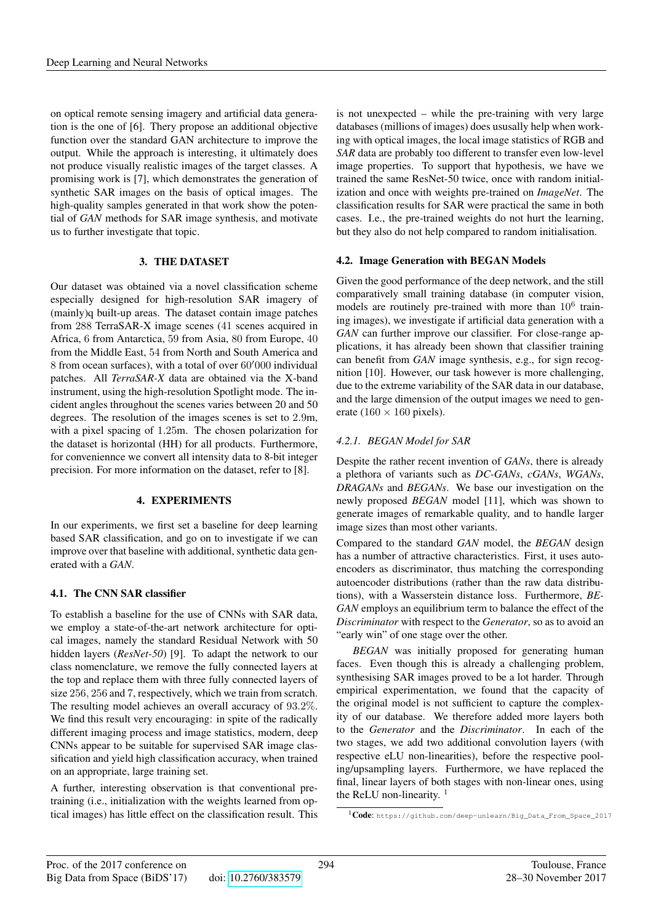on optical remote sensing imagery and artificial data generation is the one of [6]. Thery propose an additional objective function over the standard GAN architecture to improve the output. While the approach is interesting, it ultimately does not produce visually realistic images of the target classes. A promising work is [7], which demonstrates the generation of synthetic SAR images on the basis of optical images. The high-quality samples generated in that work show the potential of *GAN* methods for SAR image synthesis, and motivate us to further investigate that topic.

#### 3. THE DATASET

Our dataset was obtained via a novel classification scheme especially designed for high-resolution SAR imagery of (mainly)q built-up areas. The dataset contain image patches from 288 TerraSAR-X image scenes (41 scenes acquired in Africa, 6 from Antarctica, 59 from Asia, 80 from Europe, 40 from the Middle East, 54 from North and South America and  $8$  from ocean surfaces), with a total of over  $60'000$  individual patches. All *TerraSAR-X* data are obtained via the X-band instrument, using the high-resolution Spotlight mode. The incident angles throughout the scenes varies between 20 and 50 degrees. The resolution of the images scenes is set to 2.9m, with a pixel spacing of 1.25m. The chosen polarization for the dataset is horizontal (HH) for all products. Furthermore, for conveniennce we convert all intensity data to 8-bit integer precision. For more information on the dataset, refer to [8].

#### 4. EXPERIMENTS

In our experiments, we first set a baseline for deep learning based SAR classification, and go on to investigate if we can improve over that baseline with additional, synthetic data generated with a *GAN*.

#### 4.1. The CNN SAR classifier

To establish a baseline for the use of CNNs with SAR data, we employ a state-of-the-art network architecture for optical images, namely the standard Residual Network with 50 hidden layers (*ResNet-50*) [9]. To adapt the network to our class nomenclature, we remove the fully connected layers at the top and replace them with three fully connected layers of size 256, 256 and 7, respectively, which we train from scratch. The resulting model achieves an overall accuracy of 93.2%. We find this result very encouraging: in spite of the radically different imaging process and image statistics, modern, deep CNNs appear to be suitable for supervised SAR image classification and yield high classification accuracy, when trained on an appropriate, large training set.

A further, interesting observation is that conventional pretraining (i.e., initialization with the weights learned from optical images) has little effect on the classification result. This is not unexpected – while the pre-training with very large databases (millions of images) does ususally help when working with optical images, the local image statistics of RGB and *SAR* data are probably too different to transfer even low-level image properties. To support that hypothesis, we have we trained the same ResNet-50 twice, once with random initialization and once with weights pre-trained on *ImageNet*. The classification results for SAR were practical the same in both cases. I.e., the pre-trained weights do not hurt the learning, but they also do not help compared to random initialisation.

#### 4.2. Image Generation with BEGAN Models

Given the good performance of the deep network, and the still comparatively small training database (in computer vision, models are routinely pre-trained with more than  $10^6$  training images), we investigate if artificial data generation with a *GAN* can further improve our classifier. For close-range applications, it has already been shown that classifier training can benefit from *GAN* image synthesis, e.g., for sign recognition [10]. However, our task however is more challenging, due to the extreme variability of the SAR data in our database, and the large dimension of the output images we need to generate (160  $\times$  160 pixels).

#### *4.2.1. BEGAN Model for SAR*

Despite the rather recent invention of *GANs*, there is already a plethora of variants such as *DC-GANs*, *cGANs*, *WGANs*, *DRAGANs* and *BEGANs*. We base our investigation on the newly proposed *BEGAN* model [11], which was shown to generate images of remarkable quality, and to handle larger image sizes than most other variants.

Compared to the standard *GAN* model, the *BEGAN* design has a number of attractive characteristics. First, it uses autoencoders as discriminator, thus matching the corresponding autoencoder distributions (rather than the raw data distributions), with a Wasserstein distance loss. Furthermore, *BE-GAN* employs an equilibrium term to balance the effect of the *Discriminator* with respect to the *Generator*, so as to avoid an "early win" of one stage over the other.

*BEGAN* was initially proposed for generating human faces. Even though this is already a challenging problem, synthesising SAR images proved to be a lot harder. Through empirical experimentation, we found that the capacity of the original model is not sufficient to capture the complexity of our database. We therefore added more layers both to the *Generator* and the *Discriminator*. In each of the two stages, we add two additional convolution layers (with respective eLU non-linearities), before the respective pooling/upsampling layers. Furthermore, we have replaced the final, linear layers of both stages with non-linear ones, using the ReLU non-linearity.  $1$ 

<sup>1</sup>Code: https://github.com/deep-unlearn/Big\_Data\_From\_Space\_2017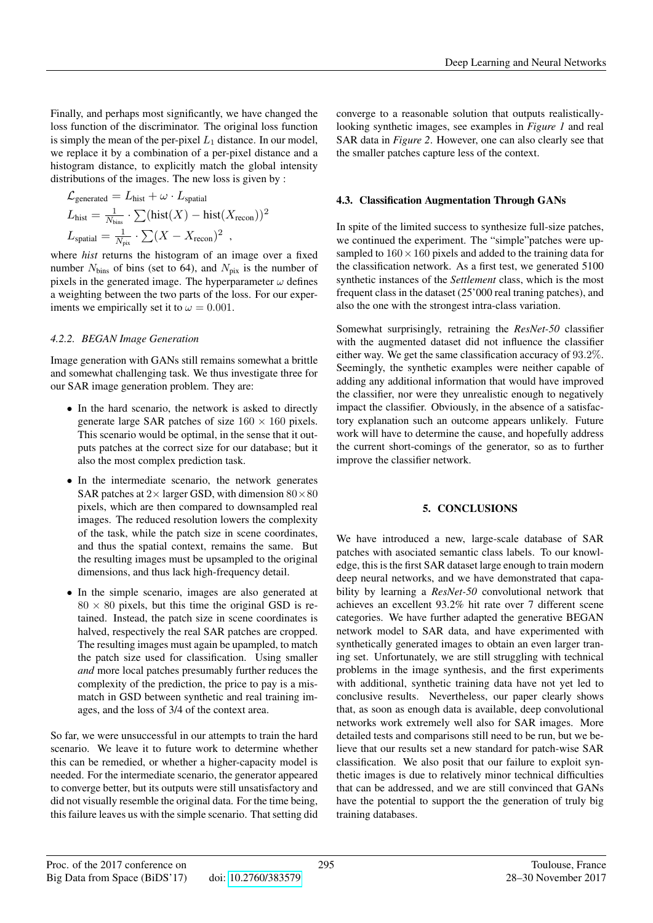Finally, and perhaps most significantly, we have changed the loss function of the discriminator. The original loss function is simply the mean of the per-pixel  $L_1$  distance. In our model, we replace it by a combination of a per-pixel distance and a histogram distance, to explicitly match the global intensity distributions of the images. The new loss is given by :

$$
\mathcal{L}_{\text{generated}} = L_{\text{hist}} + \omega \cdot L_{\text{spatial}}
$$
\n
$$
L_{\text{hist}} = \frac{1}{N_{\text{bins}}} \cdot \sum (\text{hist}(X) - \text{hist}(X_{\text{recon}}))^2
$$
\n
$$
L_{\text{spatial}} = \frac{1}{N_{\text{pix}}} \cdot \sum (X - X_{\text{recon}})^2
$$

where *hist* returns the histogram of an image over a fixed number  $N_{bins}$  of bins (set to 64), and  $N_{pix}$  is the number of pixels in the generated image. The hyperparameter  $\omega$  defines a weighting between the two parts of the loss. For our experiments we empirically set it to  $\omega = 0.001$ .

### *4.2.2. BEGAN Image Generation*

Image generation with GANs still remains somewhat a brittle and somewhat challenging task. We thus investigate three for our SAR image generation problem. They are:

- In the hard scenario, the network is asked to directly generate large SAR patches of size  $160 \times 160$  pixels. This scenario would be optimal, in the sense that it outputs patches at the correct size for our database; but it also the most complex prediction task.
- In the intermediate scenario, the network generates SAR patches at  $2\times$  larger GSD, with dimension  $80\times80$ pixels, which are then compared to downsampled real images. The reduced resolution lowers the complexity of the task, while the patch size in scene coordinates, and thus the spatial context, remains the same. But the resulting images must be upsampled to the original dimensions, and thus lack high-frequency detail.
- In the simple scenario, images are also generated at  $80 \times 80$  pixels, but this time the original GSD is retained. Instead, the patch size in scene coordinates is halved, respectively the real SAR patches are cropped. The resulting images must again be upampled, to match the patch size used for classification. Using smaller *and* more local patches presumably further reduces the complexity of the prediction, the price to pay is a mismatch in GSD between synthetic and real training images, and the loss of 3/4 of the context area.

So far, we were unsuccessful in our attempts to train the hard scenario. We leave it to future work to determine whether this can be remedied, or whether a higher-capacity model is needed. For the intermediate scenario, the generator appeared to converge better, but its outputs were still unsatisfactory and did not visually resemble the original data. For the time being, this failure leaves us with the simple scenario. That setting did converge to a reasonable solution that outputs realisticallylooking synthetic images, see examples in *Figure 1* and real SAR data in *Figure 2*. However, one can also clearly see that the smaller patches capture less of the context.

## 4.3. Classification Augmentation Through GANs

In spite of the limited success to synthesize full-size patches, we continued the experiment. The "simple"patches were upsampled to  $160 \times 160$  pixels and added to the training data for the classification network. As a first test, we generated 5100 synthetic instances of the *Settlement* class, which is the most frequent class in the dataset (25'000 real traning patches), and also the one with the strongest intra-class variation.

Somewhat surprisingly, retraining the *ResNet-50* classifier with the augmented dataset did not influence the classifier either way. We get the same classification accuracy of 93.2%. Seemingly, the synthetic examples were neither capable of adding any additional information that would have improved the classifier, nor were they unrealistic enough to negatively impact the classifier. Obviously, in the absence of a satisfactory explanation such an outcome appears unlikely. Future work will have to determine the cause, and hopefully address the current short-comings of the generator, so as to further improve the classifier network.

#### 5. CONCLUSIONS

We have introduced a new, large-scale database of SAR patches with asociated semantic class labels. To our knowledge, this is the first SAR dataset large enough to train modern deep neural networks, and we have demonstrated that capability by learning a *ResNet-50* convolutional network that achieves an excellent 93.2% hit rate over 7 different scene categories. We have further adapted the generative BEGAN network model to SAR data, and have experimented with synthetically generated images to obtain an even larger traning set. Unfortunately, we are still struggling with technical problems in the image synthesis, and the first experiments with additional, synthetic training data have not yet led to conclusive results. Nevertheless, our paper clearly shows that, as soon as enough data is available, deep convolutional networks work extremely well also for SAR images. More detailed tests and comparisons still need to be run, but we believe that our results set a new standard for patch-wise SAR classification. We also posit that our failure to exploit synthetic images is due to relatively minor technical difficulties that can be addressed, and we are still convinced that GANs have the potential to support the the generation of truly big training databases.